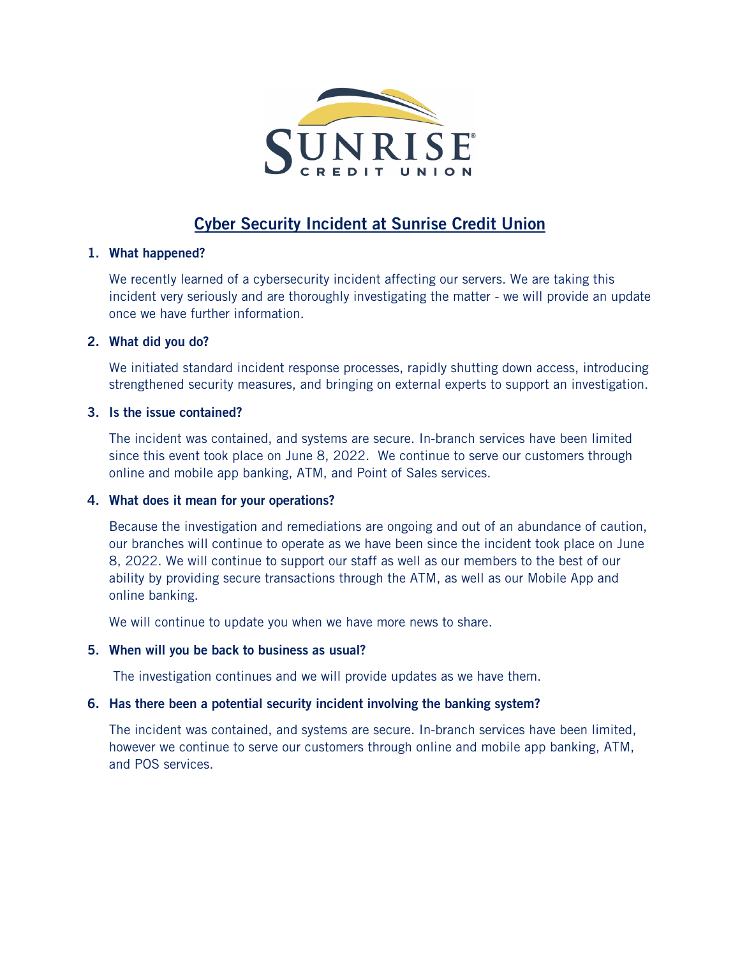

# **Cyber Security Incident at Sunrise Credit Union**

#### **1. What happened?**

We recently learned of a cybersecurity incident affecting our servers. We are taking this incident very seriously and are thoroughly investigating the matter - we will provide an update once we have further information.

# **2. What did you do?**

We initiated standard incident response processes, rapidly shutting down access, introducing strengthened security measures, and bringing on external experts to support an investigation.

# **3. Is the issue contained?**

The incident was contained, and systems are secure. In-branch services have been limited since this event took place on June 8, 2022. We continue to serve our customers through online and mobile app banking, ATM, and Point of Sales services.

# **4. What does it mean for your operations?**

Because the investigation and remediations are ongoing and out of an abundance of caution, our branches will continue to operate as we have been since the incident took place on June 8, 2022. We will continue to support our staff as well as our members to the best of our ability by providing secure transactions through the ATM, as well as our Mobile App and online banking.

We will continue to update you when we have more news to share.

# **5. When will you be back to business as usual?**

The investigation continues and we will provide updates as we have them.

# **6. Has there been a potential security incident involving the banking system?**

The incident was contained, and systems are secure. In-branch services have been limited, however we continue to serve our customers through online and mobile app banking, ATM, and POS services.